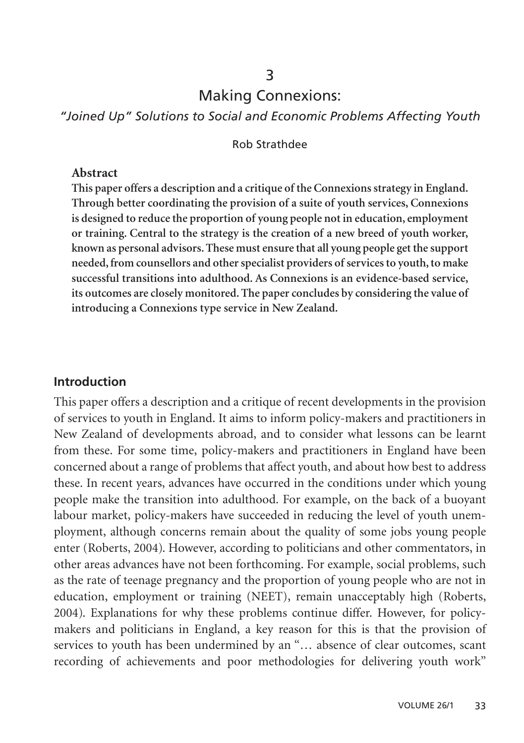### 3

# Making Connexions:

*"Joined Up" Solutions to Social and Economic Problems Affecting Youth*

### Rob Strathdee

#### **Abstract**

**This paper offers a description and a critique of the Connexions strategy in England. Through better coordinating the provision of a suite of youth services, Connexions is designed to reduce the proportion of young people not in education, employment or training. Central to the strategy is the creation of a new breed of youth worker, known as personal advisors. These must ensure that all young people get the support needed, from counsellors and other specialist providers of services to youth, to make successful transitions into adulthood. As Connexions is an evidence-based service, its outcomes are closely monitored. The paper concludes by considering the value of introducing a Connexions type service in New Zealand.**

### **Introduction**

This paper offers a description and a critique of recent developments in the provision of services to youth in England. It aims to inform policy-makers and practitioners in New Zealand of developments abroad, and to consider what lessons can be learnt from these. For some time, policy-makers and practitioners in England have been concerned about a range of problems that affect youth, and about how best to address these. In recent years, advances have occurred in the conditions under which young people make the transition into adulthood. For example, on the back of a buoyant labour market, policy-makers have succeeded in reducing the level of youth unemployment, although concerns remain about the quality of some jobs young people enter (Roberts, 2004). However, according to politicians and other commentators, in other areas advances have not been forthcoming. For example, social problems, such as the rate of teenage pregnancy and the proportion of young people who are not in education, employment or training (NEET), remain unacceptably high (Roberts, 2004). Explanations for why these problems continue differ. However, for policymakers and politicians in England, a key reason for this is that the provision of services to youth has been undermined by an "... absence of clear outcomes, scant recording of achievements and poor methodologies for delivering youth work"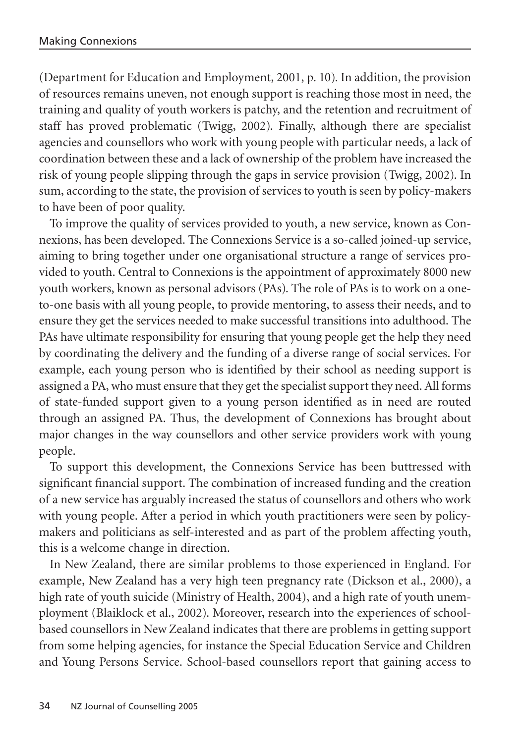(Department for Education and Employment, 2001, p. 10). In addition, the provision of resources remains uneven, not enough support is reaching those most in need, the training and quality of youth workers is patchy, and the retention and recruitment of staff has proved problematic (Twigg, 2002). Finally, although there are specialist agencies and counsellors who work with young people with particular needs, a lack of coordination between these and a lack of ownership of the problem have increased the risk of young people slipping through the gaps in service provision (Twigg, 2002). In sum, according to the state, the provision of services to youth is seen by policy-makers to have been of poor quality.

To improve the quality of services provided to youth, a new service, known as Connexions, has been developed. The Connexions Service is a so-called joined-up service, aiming to bring together under one organisational structure a range of services provided to youth. Central to Connexions is the appointment of approximately 8000 new youth workers, known as personal advisors (PAs). The role of PAs is to work on a oneto-one basis with all young people, to provide mentoring, to assess their needs, and to ensure they get the services needed to make successful transitions into adulthood. The PAs have ultimate responsibility for ensuring that young people get the help they need by coordinating the delivery and the funding of a diverse range of social services. For example, each young person who is identified by their school as needing support is assigned a PA, who must ensure that they get the specialist support they need. All forms of state-funded support given to a young person identified as in need are routed through an assigned PA. Thus, the development of Connexions has brought about major changes in the way counsellors and other service providers work with young people.

To support this development, the Connexions Service has been buttressed with significant financial support. The combination of increased funding and the creation of a new service has arguably increased the status of counsellors and others who work with young people. After a period in which youth practitioners were seen by policymakers and politicians as self-interested and as part of the problem affecting youth, this is a welcome change in direction.

In New Zealand, there are similar problems to those experienced in England. For example, New Zealand has a very high teen pregnancy rate (Dickson et al., 2000), a high rate of youth suicide (Ministry of Health, 2004), and a high rate of youth unemployment (Blaiklock et al., 2002). Moreover, research into the experiences of schoolbased counsellors in New Zealand indicates that there are problems in getting support from some helping agencies, for instance the Special Education Service and Children and Young Persons Service. School-based counsellors report that gaining access to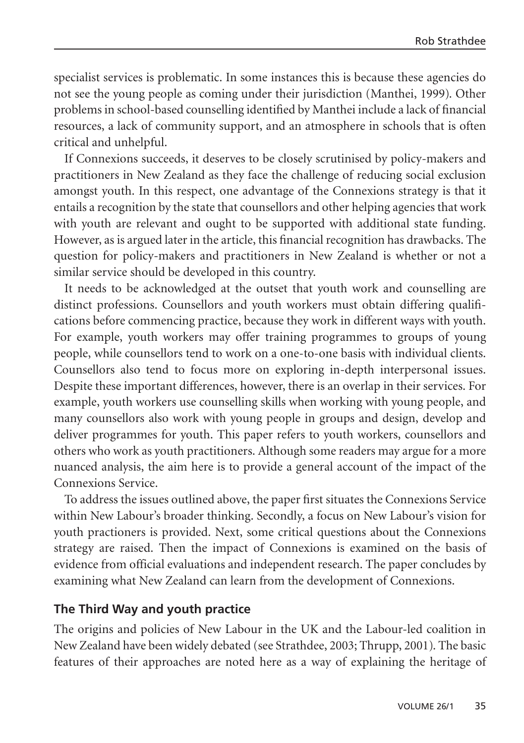specialist services is problematic. In some instances this is because these agencies do not see the young people as coming under their jurisdiction (Manthei, 1999). Other problems in school-based counselling identified by Manthei include a lack of financial resources, a lack of community support, and an atmosphere in schools that is often critical and unhelpful.

If Connexions succeeds, it deserves to be closely scrutinised by policy-makers and practitioners in New Zealand as they face the challenge of reducing social exclusion amongst youth. In this respect, one advantage of the Connexions strategy is that it entails a recognition by the state that counsellors and other helping agencies that work with youth are relevant and ought to be supported with additional state funding. However, as is argued later in the article, this financial recognition has drawbacks. The question for policy-makers and practitioners in New Zealand is whether or not a similar service should be developed in this country.

It needs to be acknowledged at the outset that youth work and counselling are distinct professions. Counsellors and youth workers must obtain differing qualifications before commencing practice, because they work in different ways with youth. For example, youth workers may offer training programmes to groups of young people, while counsellors tend to work on a one-to-one basis with individual clients. Counsellors also tend to focus more on exploring in-depth interpersonal issues. Despite these important differences, however, there is an overlap in their services. For example, youth workers use counselling skills when working with young people, and many counsellors also work with young people in groups and design, develop and deliver programmes for youth. This paper refers to youth workers, counsellors and others who work as youth practitioners. Although some readers may argue for a more nuanced analysis, the aim here is to provide a general account of the impact of the Connexions Service.

To address the issues outlined above, the paper first situates the Connexions Service within New Labour's broader thinking. Secondly, a focus on New Labour's vision for youth practioners is provided. Next, some critical questions about the Connexions strategy are raised. Then the impact of Connexions is examined on the basis of evidence from official evaluations and independent research. The paper concludes by examining what New Zealand can learn from the development of Connexions.

### **The Third Way and youth practice**

The origins and policies of New Labour in the UK and the Labour-led coalition in New Zealand have been widely debated (see Strathdee, 2003; Thrupp, 2001). The basic features of their approaches are noted here as a way of explaining the heritage of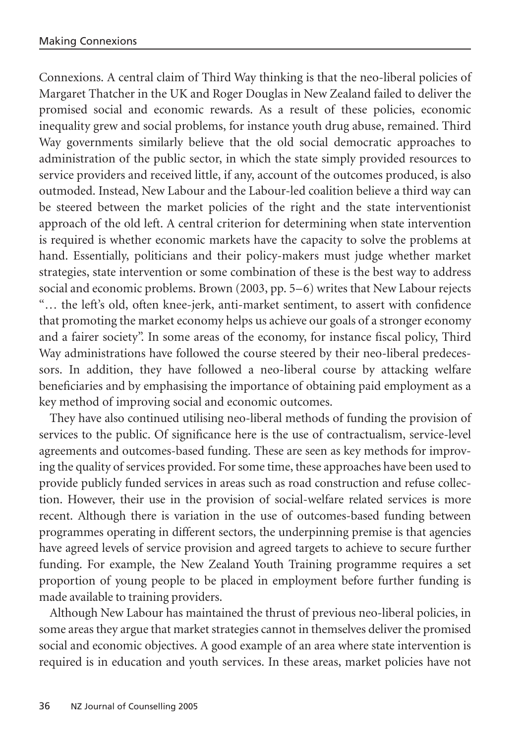Connexions. A central claim of Third Way thinking is that the neo-liberal policies of Margaret Thatcher in the UK and Roger Douglas in New Zealand failed to deliver the promised social and economic rewards. As a result of these policies, economic inequality grew and social problems, for instance youth drug abuse, remained. Third Way governments similarly believe that the old social democratic approaches to administration of the public sector, in which the state simply provided resources to service providers and received little, if any, account of the outcomes produced, is also outmoded. Instead, New Labour and the Labour-led coalition believe a third way can be steered between the market policies of the right and the state interventionist approach of the old left. A central criterion for determining when state intervention is required is whether economic markets have the capacity to solve the problems at hand. Essentially, politicians and their policy-makers must judge whether market strategies, state intervention or some combination of these is the best way to address social and economic problems. Brown (2003, pp. 5–6) writes that New Labour rejects "… the left's old, often knee-jerk, anti-market sentiment, to assert with confidence that promoting the market economy helps us achieve our goals of a stronger economy and a fairer society". In some areas of the economy, for instance fiscal policy, Third Way administrations have followed the course steered by their neo-liberal predecessors. In addition, they have followed a neo-liberal course by attacking welfare beneficiaries and by emphasising the importance of obtaining paid employment as a key method of improving social and economic outcomes.

They have also continued utilising neo-liberal methods of funding the provision of services to the public. Of significance here is the use of contractualism, service-level agreements and outcomes-based funding. These are seen as key methods for improving the quality of services provided. For some time, these approaches have been used to provide publicly funded services in areas such as road construction and refuse collection. However, their use in the provision of social-welfare related services is more recent. Although there is variation in the use of outcomes-based funding between programmes operating in different sectors, the underpinning premise is that agencies have agreed levels of service provision and agreed targets to achieve to secure further funding. For example, the New Zealand Youth Training programme requires a set proportion of young people to be placed in employment before further funding is made available to training providers.

Although New Labour has maintained the thrust of previous neo-liberal policies, in some areas they argue that market strategies cannot in themselves deliver the promised social and economic objectives. A good example of an area where state intervention is required is in education and youth services. In these areas, market policies have not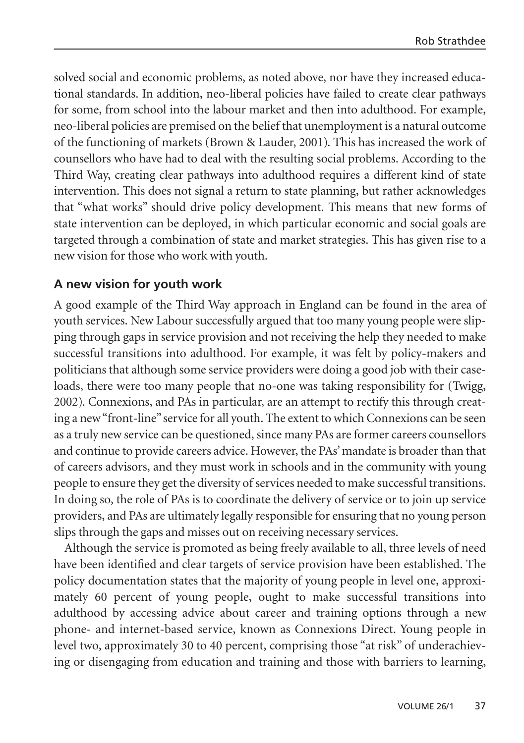solved social and economic problems, as noted above, nor have they increased educational standards. In addition, neo-liberal policies have failed to create clear pathways for some, from school into the labour market and then into adulthood. For example, neo-liberal policies are premised on the belief that unemployment is a natural outcome of the functioning of markets (Brown & Lauder, 2001). This has increased the work of counsellors who have had to deal with the resulting social problems. According to the Third Way, creating clear pathways into adulthood requires a different kind of state intervention. This does not signal a return to state planning, but rather acknowledges that "what works" should drive policy development. This means that new forms of state intervention can be deployed, in which particular economic and social goals are targeted through a combination of state and market strategies. This has given rise to a new vision for those who work with youth.

# **A new vision for youth work**

A good example of the Third Way approach in England can be found in the area of youth services. New Labour successfully argued that too many young people were slipping through gaps in service provision and not receiving the help they needed to make successful transitions into adulthood. For example, it was felt by policy-makers and politicians that although some service providers were doing a good job with their caseloads, there were too many people that no-one was taking responsibility for (Twigg, 2002). Connexions, and PAs in particular, are an attempt to rectify this through creating a new "front-line" service for all youth. The extent to which Connexions can be seen as a truly new service can be questioned, since many PAs are former careers counsellors and continue to provide careers advice. However, the PAs' mandate is broader than that of careers advisors, and they must work in schools and in the community with young people to ensure they get the diversity of services needed to make successful transitions. In doing so, the role of PAs is to coordinate the delivery of service or to join up service providers, and PAs are ultimately legally responsible for ensuring that no young person slips through the gaps and misses out on receiving necessary services.

Although the service is promoted as being freely available to all, three levels of need have been identified and clear targets of service provision have been established. The policy documentation states that the majority of young people in level one, approximately 60 percent of young people, ought to make successful transitions into adulthood by accessing advice about career and training options through a new phone- and internet-based service, known as Connexions Direct. Young people in level two, approximately 30 to 40 percent, comprising those "at risk" of underachieving or disengaging from education and training and those with barriers to learning,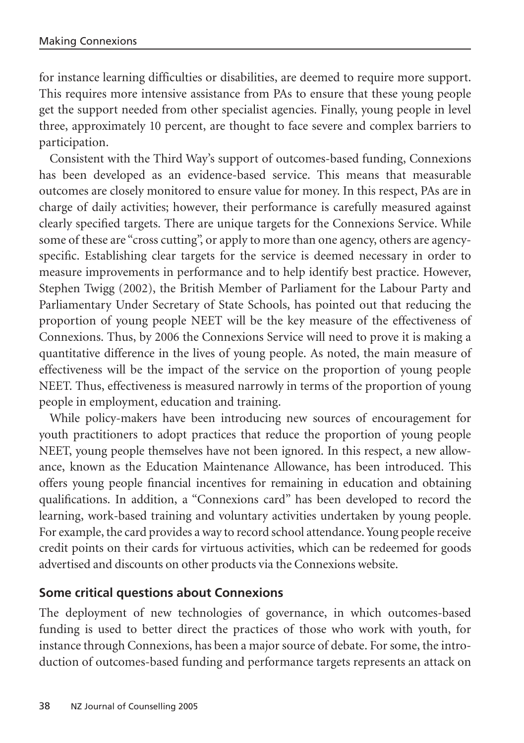for instance learning difficulties or disabilities, are deemed to require more support. This requires more intensive assistance from PAs to ensure that these young people get the support needed from other specialist agencies. Finally, young people in level three, approximately 10 percent, are thought to face severe and complex barriers to participation.

Consistent with the Third Way's support of outcomes-based funding, Connexions has been developed as an evidence-based service. This means that measurable outcomes are closely monitored to ensure value for money. In this respect, PAs are in charge of daily activities; however, their performance is carefully measured against clearly specified targets. There are unique targets for the Connexions Service. While some of these are "cross cutting", or apply to more than one agency, others are agencyspecific. Establishing clear targets for the service is deemed necessary in order to measure improvements in performance and to help identify best practice. However, Stephen Twigg (2002), the British Member of Parliament for the Labour Party and Parliamentary Under Secretary of State Schools, has pointed out that reducing the proportion of young people NEET will be the key measure of the effectiveness of Connexions. Thus, by 2006 the Connexions Service will need to prove it is making a quantitative difference in the lives of young people. As noted, the main measure of effectiveness will be the impact of the service on the proportion of young people NEET. Thus, effectiveness is measured narrowly in terms of the proportion of young people in employment, education and training.

While policy-makers have been introducing new sources of encouragement for youth practitioners to adopt practices that reduce the proportion of young people NEET, young people themselves have not been ignored. In this respect, a new allowance, known as the Education Maintenance Allowance, has been introduced. This offers young people financial incentives for remaining in education and obtaining qualifications. In addition, a "Connexions card" has been developed to record the learning, work-based training and voluntary activities undertaken by young people. For example, the card provides a way to record school attendance. Young people receive credit points on their cards for virtuous activities, which can be redeemed for goods advertised and discounts on other products via the Connexions website.

# **Some critical questions about Connexions**

The deployment of new technologies of governance, in which outcomes-based funding is used to better direct the practices of those who work with youth, for instance through Connexions, has been a major source of debate. For some, the introduction of outcomes-based funding and performance targets represents an attack on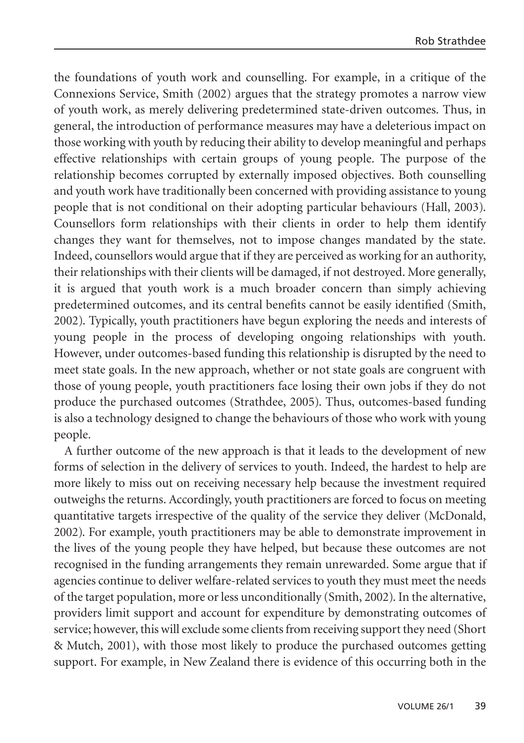the foundations of youth work and counselling. For example, in a critique of the Connexions Service, Smith (2002) argues that the strategy promotes a narrow view of youth work, as merely delivering predetermined state-driven outcomes. Thus, in general, the introduction of performance measures may have a deleterious impact on those working with youth by reducing their ability to develop meaningful and perhaps effective relationships with certain groups of young people. The purpose of the relationship becomes corrupted by externally imposed objectives. Both counselling and youth work have traditionally been concerned with providing assistance to young people that is not conditional on their adopting particular behaviours (Hall, 2003). Counsellors form relationships with their clients in order to help them identify changes they want for themselves, not to impose changes mandated by the state. Indeed, counsellors would argue that if they are perceived as working for an authority, their relationships with their clients will be damaged, if not destroyed. More generally, it is argued that youth work is a much broader concern than simply achieving predetermined outcomes, and its central benefits cannot be easily identified (Smith, 2002). Typically, youth practitioners have begun exploring the needs and interests of young people in the process of developing ongoing relationships with youth. However, under outcomes-based funding this relationship is disrupted by the need to meet state goals. In the new approach, whether or not state goals are congruent with those of young people, youth practitioners face losing their own jobs if they do not produce the purchased outcomes (Strathdee, 2005). Thus, outcomes-based funding is also a technology designed to change the behaviours of those who work with young people.

A further outcome of the new approach is that it leads to the development of new forms of selection in the delivery of services to youth. Indeed, the hardest to help are more likely to miss out on receiving necessary help because the investment required outweighs the returns. Accordingly, youth practitioners are forced to focus on meeting quantitative targets irrespective of the quality of the service they deliver (McDonald, 2002). For example, youth practitioners may be able to demonstrate improvement in the lives of the young people they have helped, but because these outcomes are not recognised in the funding arrangements they remain unrewarded. Some argue that if agencies continue to deliver welfare-related services to youth they must meet the needs of the target population, more or less unconditionally (Smith, 2002). In the alternative, providers limit support and account for expenditure by demonstrating outcomes of service; however, this will exclude some clients from receiving support they need (Short & Mutch, 2001), with those most likely to produce the purchased outcomes getting support. For example, in New Zealand there is evidence of this occurring both in the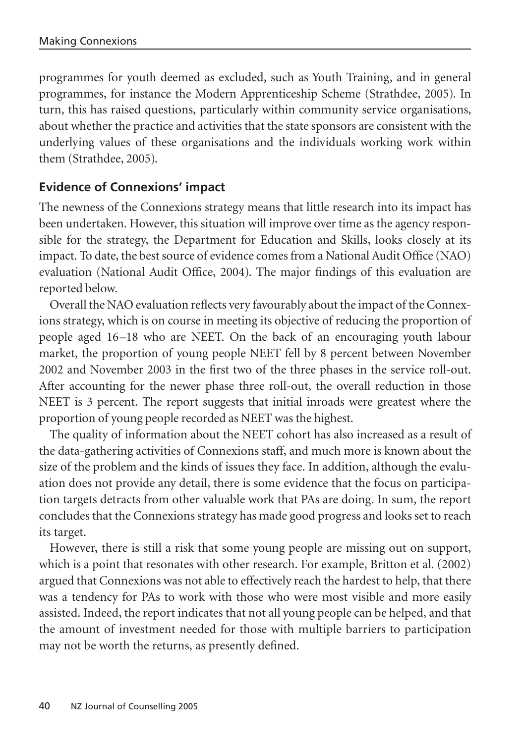programmes for youth deemed as excluded, such as Youth Training, and in general programmes, for instance the Modern Apprenticeship Scheme (Strathdee, 2005). In turn, this has raised questions, particularly within community service organisations, about whether the practice and activities that the state sponsors are consistent with the underlying values of these organisations and the individuals working work within them (Strathdee, 2005).

# **Evidence of Connexions' impact**

The newness of the Connexions strategy means that little research into its impact has been undertaken. However, this situation will improve over time as the agency responsible for the strategy, the Department for Education and Skills, looks closely at its impact. To date, the best source of evidence comes from a National Audit Office (NAO) evaluation (National Audit Office, 2004). The major findings of this evaluation are reported below.

Overall the NAO evaluation reflects very favourably about the impact of the Connexions strategy, which is on course in meeting its objective of reducing the proportion of people aged 16–18 who are NEET. On the back of an encouraging youth labour market, the proportion of young people NEET fell by 8 percent between November 2002 and November 2003 in the first two of the three phases in the service roll-out. After accounting for the newer phase three roll-out, the overall reduction in those NEET is 3 percent. The report suggests that initial inroads were greatest where the proportion of young people recorded as NEET was the highest.

The quality of information about the NEET cohort has also increased as a result of the data-gathering activities of Connexions staff, and much more is known about the size of the problem and the kinds of issues they face. In addition, although the evaluation does not provide any detail, there is some evidence that the focus on participation targets detracts from other valuable work that PAs are doing. In sum, the report concludes that the Connexions strategy has made good progress and looks set to reach its target.

However, there is still a risk that some young people are missing out on support, which is a point that resonates with other research. For example, Britton et al. (2002) argued that Connexions was not able to effectively reach the hardest to help, that there was a tendency for PAs to work with those who were most visible and more easily assisted. Indeed, the report indicates that not all young people can be helped, and that the amount of investment needed for those with multiple barriers to participation may not be worth the returns, as presently defined.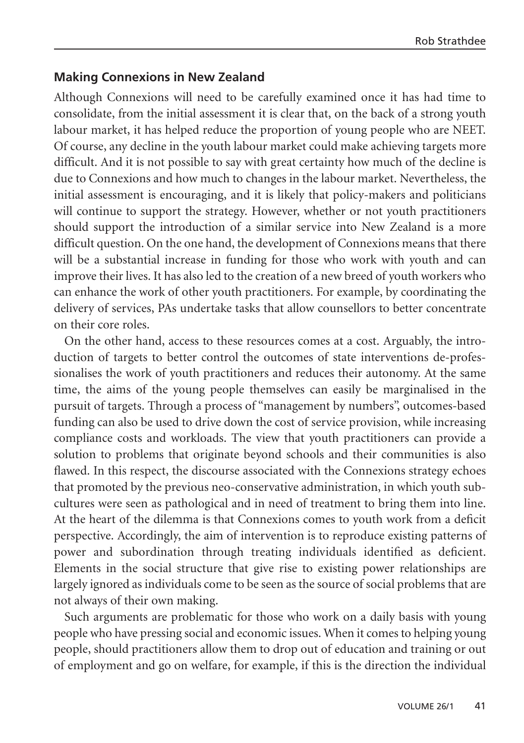## **Making Connexions in New Zealand**

Although Connexions will need to be carefully examined once it has had time to consolidate, from the initial assessment it is clear that, on the back of a strong youth labour market, it has helped reduce the proportion of young people who are NEET. Of course, any decline in the youth labour market could make achieving targets more difficult. And it is not possible to say with great certainty how much of the decline is due to Connexions and how much to changes in the labour market. Nevertheless, the initial assessment is encouraging, and it is likely that policy-makers and politicians will continue to support the strategy. However, whether or not youth practitioners should support the introduction of a similar service into New Zealand is a more difficult question. On the one hand, the development of Connexions means that there will be a substantial increase in funding for those who work with youth and can improve their lives. It has also led to the creation of a new breed of youth workers who can enhance the work of other youth practitioners. For example, by coordinating the delivery of services, PAs undertake tasks that allow counsellors to better concentrate on their core roles.

On the other hand, access to these resources comes at a cost. Arguably, the introduction of targets to better control the outcomes of state interventions de-professionalises the work of youth practitioners and reduces their autonomy. At the same time, the aims of the young people themselves can easily be marginalised in the pursuit of targets. Through a process of "management by numbers", outcomes-based funding can also be used to drive down the cost of service provision, while increasing compliance costs and workloads. The view that youth practitioners can provide a solution to problems that originate beyond schools and their communities is also flawed. In this respect, the discourse associated with the Connexions strategy echoes that promoted by the previous neo-conservative administration, in which youth subcultures were seen as pathological and in need of treatment to bring them into line. At the heart of the dilemma is that Connexions comes to youth work from a deficit perspective. Accordingly, the aim of intervention is to reproduce existing patterns of power and subordination through treating individuals identified as deficient. Elements in the social structure that give rise to existing power relationships are largely ignored as individuals come to be seen as the source of social problems that are not always of their own making.

Such arguments are problematic for those who work on a daily basis with young people who have pressing social and economic issues. When it comes to helping young people, should practitioners allow them to drop out of education and training or out of employment and go on welfare, for example, if this is the direction the individual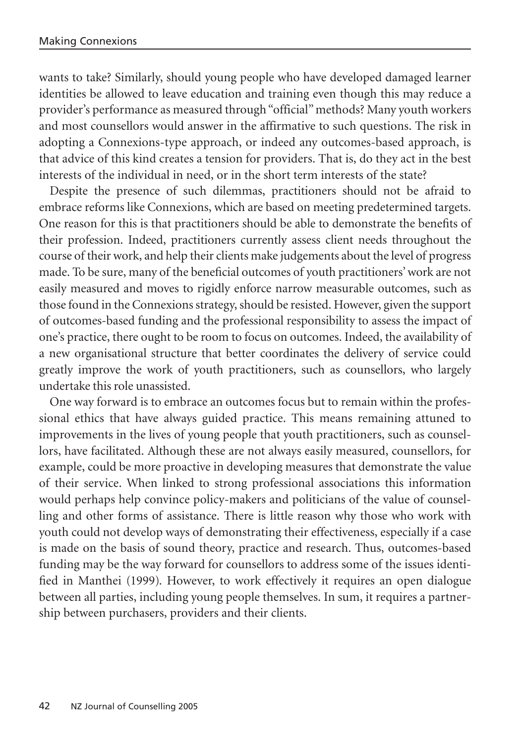wants to take? Similarly, should young people who have developed damaged learner identities be allowed to leave education and training even though this may reduce a provider's performance as measured through "official" methods? Many youth workers and most counsellors would answer in the affirmative to such questions. The risk in adopting a Connexions-type approach, or indeed any outcomes-based approach, is that advice of this kind creates a tension for providers. That is, do they act in the best interests of the individual in need, or in the short term interests of the state?

Despite the presence of such dilemmas, practitioners should not be afraid to embrace reforms like Connexions, which are based on meeting predetermined targets. One reason for this is that practitioners should be able to demonstrate the benefits of their profession. Indeed, practitioners currently assess client needs throughout the course of their work, and help their clients make judgements about the level of progress made. To be sure, many of the beneficial outcomes of youth practitioners' work are not easily measured and moves to rigidly enforce narrow measurable outcomes, such as those found in the Connexions strategy, should be resisted. However, given the support of outcomes-based funding and the professional responsibility to assess the impact of one's practice, there ought to be room to focus on outcomes. Indeed, the availability of a new organisational structure that better coordinates the delivery of service could greatly improve the work of youth practitioners, such as counsellors, who largely undertake this role unassisted.

One way forward is to embrace an outcomes focus but to remain within the professional ethics that have always guided practice. This means remaining attuned to improvements in the lives of young people that youth practitioners, such as counsellors, have facilitated. Although these are not always easily measured, counsellors, for example, could be more proactive in developing measures that demonstrate the value of their service. When linked to strong professional associations this information would perhaps help convince policy-makers and politicians of the value of counselling and other forms of assistance. There is little reason why those who work with youth could not develop ways of demonstrating their effectiveness, especially if a case is made on the basis of sound theory, practice and research. Thus, outcomes-based funding may be the way forward for counsellors to address some of the issues identified in Manthei (1999). However, to work effectively it requires an open dialogue between all parties, including young people themselves. In sum, it requires a partnership between purchasers, providers and their clients.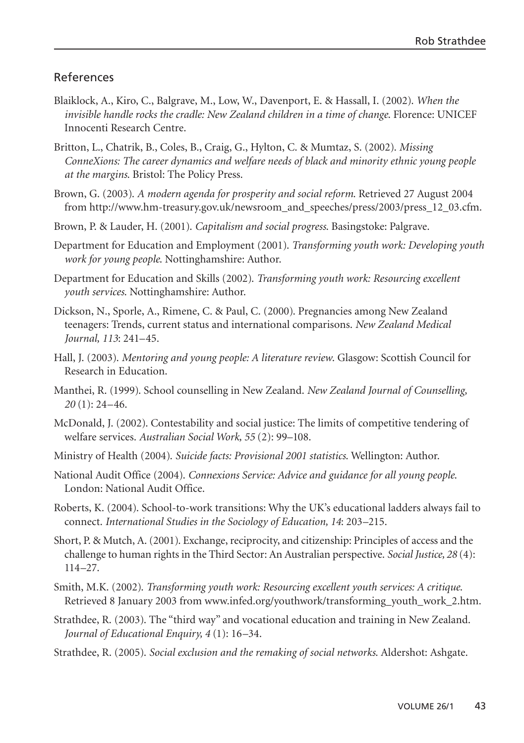#### References

- Blaiklock, A., Kiro, C., Balgrave, M., Low, W., Davenport, E. & Hassall, I. (2002). *When the invisible handle rocks the cradle: New Zealand children in a time of change*. Florence: UNICEF Innocenti Research Centre.
- Britton, L., Chatrik, B., Coles, B., Craig, G., Hylton, C. & Mumtaz, S. (2002). *Missing ConneXions: The career dynamics and welfare needs of black and minority ethnic young people at the margins*. Bristol: The Policy Press.
- Brown, G. (2003). *A modern agenda for prosperity and social reform*. Retrieved 27 August 2004 from http://www.hm-treasury.gov.uk/newsroom\_and\_speeches/press/2003/press\_12\_03.cfm.
- Brown, P. & Lauder, H. (2001). *Capitalism and social progress*. Basingstoke: Palgrave.
- Department for Education and Employment (2001). *Transforming youth work: Developing youth work for young people*. Nottinghamshire: Author.
- Department for Education and Skills (2002). *Transforming youth work: Resourcing excellent youth services*. Nottinghamshire: Author.
- Dickson, N., Sporle, A., Rimene, C. & Paul, C. (2000). Pregnancies among New Zealand teenagers: Trends, current status and international comparisons. *New Zealand Medical Journal, 113*: 241–45.
- Hall, J. (2003). *Mentoring and young people: A literature review*. Glasgow: Scottish Council for Research in Education.
- Manthei, R. (1999). School counselling in New Zealand. *New Zealand Journal of Counselling, 20* (1): 24–46.
- McDonald, J. (2002). Contestability and social justice: The limits of competitive tendering of welfare services. *Australian Social Work, 55* (2): 99–108.
- Ministry of Health (2004). *Suicide facts: Provisional 2001 statistics*. Wellington: Author.
- National Audit Office (2004). *Connexions Service: Advice and guidance for all young people*. London: National Audit Office.
- Roberts, K. (2004). School-to-work transitions: Why the UK's educational ladders always fail to connect. *International Studies in the Sociology of Education, 14*: 203–215.
- Short, P. & Mutch, A. (2001). Exchange, reciprocity, and citizenship: Principles of access and the challenge to human rights in the Third Sector: An Australian perspective. *Social Justice, 28* (4): 114–27.
- Smith, M.K. (2002). *Transforming youth work: Resourcing excellent youth services: A critique*. Retrieved 8 January 2003 from www.infed.org/youthwork/transforming\_youth\_work\_2.htm.
- Strathdee, R. (2003). The "third way" and vocational education and training in New Zealand. *Journal of Educational Enquiry, 4* (1): 16–34.
- Strathdee, R. (2005). *Social exclusion and the remaking of social networks*. Aldershot: Ashgate.